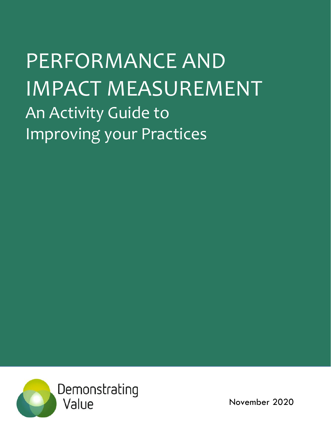# PERFORMANCE AND IMPACT MEASUREMENT An Activity Guide to Improving your Practices



November 2020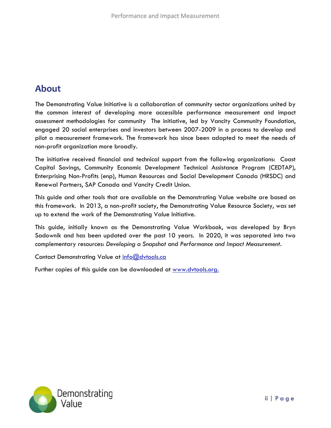# **About**

The Demonstrating Value Initiative is a collaboration of community sector organizations united by the common interest of developing more accessible performance measurement and impact assessment methodologies for community The initiative, led by Vancity Community Foundation, engaged 20 social enterprises and investors between 2007-2009 in a process to develop and pilot a measurement framework. The framework has since been adapted to meet the needs of non-profit organization more broadly.

The initiative received financial and technical support from the following organizations: Coast Capital Savings, Community Economic Development Technical Assistance Program (CEDTAP), Enterprising Non-Profits (enp), Human Resources and Social Development Canada (HRSDC) and Renewal Partners, SAP Canada and Vancity Credit Union.

This guide and other tools that are available on the Demonstrating Value website are based on this framework. In 2013, a non-profit society, the Demonstrating Value Resource Society, was set up to extend the work of the Demonstrating Value Initiative.

This guide, initially known as the Demonstrating Value Workbook, was developed by Bryn Sadownik and has been updated over the past 10 years. In 2020, it was separated into two complementary resources: *Developing a Snapshot* and *Performance and Impact Measurement.*

Contact Demonstrating Value at [info@dvtools.ca](mailto:info@dvtools.ca)

Further copies of this guide can be downloaded at [www.dvtools.org.](http://www.dvtools.org/)

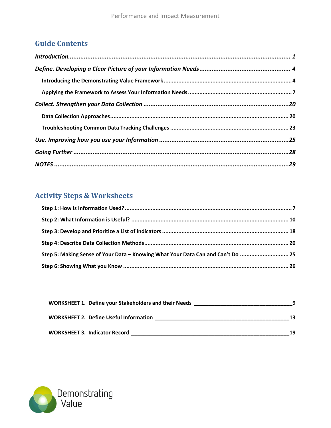# **Guide Contents**

# **Activity Steps & Worksheets**

| Step 5: Making Sense of Your Data - Knowing What Your Data Can and Can't Do  25 |  |
|---------------------------------------------------------------------------------|--|
|                                                                                 |  |

| <b>WORKSHEET 1. Define your Stakeholders and their Needs</b> |    |
|--------------------------------------------------------------|----|
| <b>WORKSHEET 2. Define Useful Information</b>                | 13 |
| <b>WORKSHEET 3. Indicator Record</b>                         | 19 |

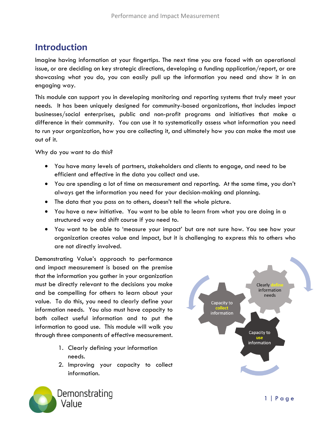# <span id="page-3-0"></span>**Introduction**

Imagine having information at your fingertips. The next time you are faced with an operational issue, or are deciding on key strategic directions, developing a funding application/report, or are showcasing what you do, you can easily pull up the information you need and show it in an engaging way.

This module can support you in developing monitoring and reporting systems that truly meet your needs. It has been uniquely designed for community-based organizations, that includes impact businesses/social enterprises, public and non-profit programs and initiatives that make a difference in their community. You can use it to systematically assess what information you need to run your organization, how you are collecting it, and ultimately how you can make the most use out of it.

Why do you want to do this?

- You have many levels of partners, stakeholders and clients to engage, and need to be efficient and effective in the data you collect and use.
- You are spending a lot of time on measurement and reporting. At the same time, you don't always get the information you need for your decision-making and planning.
- The data that you pass on to others, doesn't tell the whole picture.
- You have a new initiative. You want to be able to learn from what you are doing in a structured way and shift course if you need to.
- You want to be able to 'measure your impact' but are not sure how. You see how your organization creates value and impact, but it is challenging to express this to others who are not directly involved.

Demonstrating Value's approach to performance and impact measurement is based on the premise that the information you gather in your organization must be directly relevant to the decisions you make and be compelling for others to learn about your value. To do this, you need to clearly define your information needs. You also must have capacity to both collect useful information and to put the information to good use. This module will walk you through three components of effective measurement.

- 1. Clearly defining your information needs.
- 2. Improving your capacity to collect information.



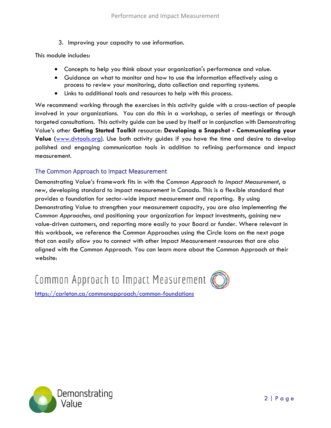3. Improving your capacity to use information.

This module includes:

- Concepts to help you think about your organization's performance and value.
- Guidance on what to monitor and how to use the information effectively using a process to review your monitoring, data collection and reporting systems.
- Links to additional tools and resources to help with this process.

We recommend working through the exercises in this activity guide with a cross-section of people involved in your organizations. You can do this in a workshop, a series of meetings or through targeted consultations. This activity guide can be used by itself or in conjunction with Demonstrating Value's other **Getting Started Toolkit** resource: **Developing a Snapshot - Communicating your Value (**[www.dvtools.org\)](http://www.dvtools.org/). Use both activity guides if you have the time and desire to develop polished and engaging communication tools in addition to refining performance and impact measurement.

#### The Common Approach to Impact Measurement

Demonstrating Value's framework fits in with the *Common Approach to Impact Measurement*, a new, developing standard to impact measurement in Canada. This is a flexible standard that provides a foundation for sector-wide impact measurement and reporting. By using Demonstrating Value to strengthen your measurement capacity, you are also implementing *the Common Approaches*, and positioning your organization for impact investments, gaining new value-driven customers, and reporting more easily to your Board or funder. Where relevant in this workbook, we reference the Common Approaches using the Circle Icons on the next page that can easily allow you to connect with other Impact Measurement resources that are also aligned with the Common Approach. You can learn more about the Common Approach at their website:

Common Approach to Impact Measurement (



<https://carleton.ca/commonapproach/common-foundations>

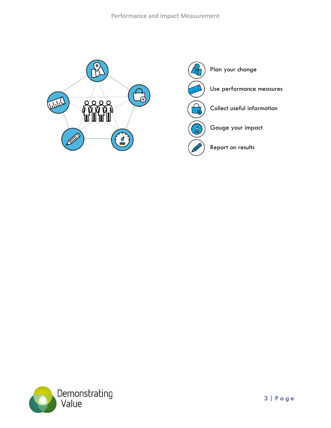#### Performance and Impact Measurement





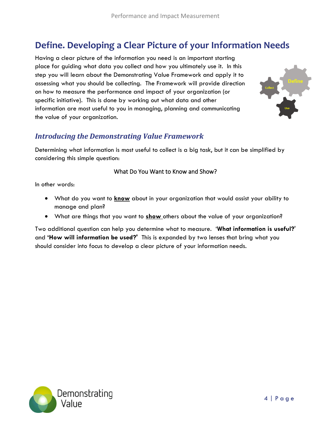# <span id="page-6-0"></span>**Define. Developing a Clear Picture of your Information Needs**

Having a clear picture of the information you need is an important starting place for guiding what data you collect and how you ultimately use it. In this step you will learn about the Demonstrating Value Framework and apply it to assessing what you should be collecting. The Framework will provide direction on how to measure the performance and impact of your organization (or specific initiative). This is done by working out what data and other information are most useful to you in managing, planning and communicating the value of your organization.



#### <span id="page-6-1"></span>*Introducing the Demonstrating Value Framework*

Determining what information is most useful to collect is a big task, but it can be simplified by considering this simple question:

#### What Do You Want to Know and Show?

In other words:

- What do you want to **know** about in your organization that would assist your ability to manage and plan?
- What are things that you want to **show** others about the value of your organization?

Two additional question can help you determine what to measure. '**What information is useful?**' and **'How will information be used?'** This is expanded by two lenses that bring what you should consider into focus to develop a clear picture of your information needs.

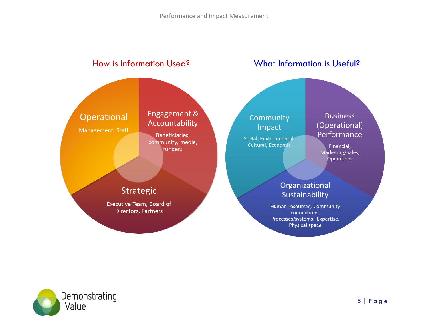

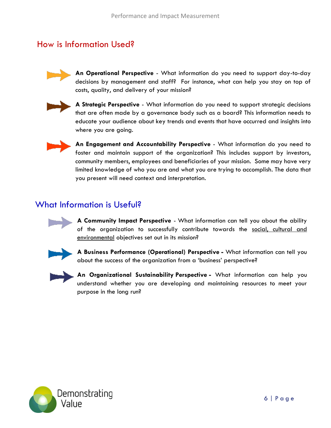# How is Information Used?



**An Operational Perspective** - What information do you need to support day-to-day decisions by management and staff? For instance, what can help you stay on top of costs, quality, and delivery of your mission?



**A Strategic Perspective** - What information do you need to support strategic decisions that are often made by a governance body such as a board? This information needs to educate your audience about key trends and events that have occurred and insights into where you are going.



**An Engagement and Accountability Perspective** - What information do you need to foster and maintain support of the organization? This includes support by investors, community members, employees and beneficiaries of your mission. Some may have very limited knowledge of who you are and what you are trying to accomplish. The data that you present will need context and interpretation.

# What Information is Useful?



**A Community Impact Perspective** - What information can tell you about the ability of the organization to successfully contribute towards the social, cultural and environmental objectives set out in its mission?



**A Business Performance (Operational) Perspective -** What information can tell you about the success of the organization from a 'business' perspective?



**An Organizational Sustainability Perspective -** What information can help you understand whether you are developing and maintaining resources to meet your purpose in the long run?

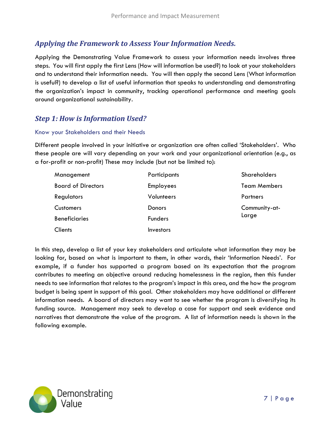#### <span id="page-9-0"></span>*Applying the Framework to Assess Your Information Needs.*

Applying the Demonstrating Value Framework to assess your information needs involves three steps. You will first apply the first Lens (How will information be used?) to look at your stakeholders and to understand their information needs. You will then apply the second Lens (What information is useful?) to develop a list of useful information that speaks to understanding and demonstrating the organization's impact in community, tracking operational performance and meeting goals around organizational sustainability.

#### <span id="page-9-1"></span>*Step 1: How is Information Used?*

#### Know your Stakeholders and their Needs

Different people involved in your initiative or organization are often called 'Stakeholders'. Who these people are will vary depending on your work and your organizational orientation (e.g., as a for-profit or non-profit) These may include (but not be limited to):

| Management                | Participants   | Shareholders        |  |
|---------------------------|----------------|---------------------|--|
| <b>Board of Directors</b> | Employees      | <b>Team Members</b> |  |
| Regulators                | Volunteers     | Partners            |  |
| <b>Customers</b>          | Donors         | Community-at-       |  |
| <b>Beneficiaries</b>      | <b>Funders</b> | Large               |  |
| <b>Clients</b>            | Investors      |                     |  |

In this step, develop a list of your key stakeholders and articulate what information they may be looking for, based on what is important to them, in other words, their 'Information Needs'. For example, if a funder has supported a program based on its expectation that the program contributes to meeting an objective around reducing homelessness in the region, then this funder needs to see information that relates to the program's impact in this area, and the how the program budget is being spent in support of this goal. Other stakeholders may have additional or different information needs. A board of directors may want to see whether the program is diversifying its funding source. Management may seek to develop a case for support and seek evidence and narratives that demonstrate the value of the program. A list of information needs is shown in the following example.

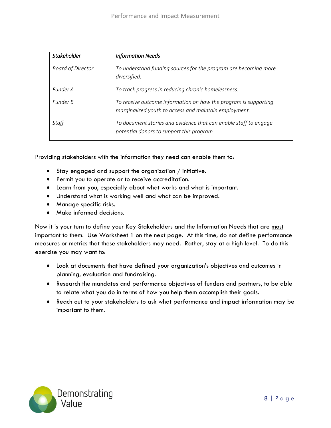| <b>Stakeholder</b>       | <b>Information Needs</b>                                                                                                 |
|--------------------------|--------------------------------------------------------------------------------------------------------------------------|
| <b>Board of Director</b> | To understand funding sources for the program are becoming more<br>diversified.                                          |
| Funder A                 | To track progress in reducing chronic homelessness.                                                                      |
| Funder B                 | To receive outcome information on how the program is supporting<br>marginalized youth to access and maintain employment. |
| Staff                    | To document stories and evidence that can enable staff to engage<br>potential donors to support this program.            |

Providing stakeholders with the information they need can enable them to:

- Stay engaged and support the organization / initiative.
- Permit you to operate or to receive accreditation.
- Learn from you, especially about what works and what is important.
- Understand what is working well and what can be improved.
- Manage specific risks.
- Make informed decisions.

Now it is your turn to define your Key Stakeholders and the Information Needs that are most important to them. Use Worksheet 1 on the next page. At this time, do not define performance measures or metrics that these stakeholders may need. Rather, stay at a high level. To do this exercise you may want to:

- Look at documents that have defined your organization's objectives and outcomes in planning, evaluation and fundraising.
- Research the mandates and performance objectives of funders and partners, to be able to relate what you do in terms of how you help them accomplish their goals.
- Reach out to your stakeholders to ask what performance and impact information may be important to them.

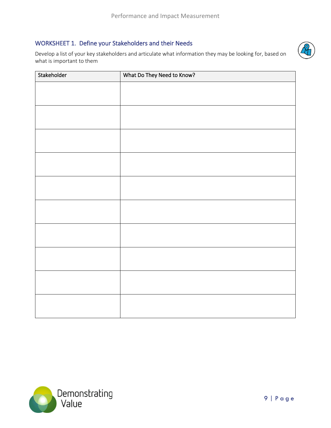#### <span id="page-11-0"></span>WORKSHEET 1. Define your Stakeholders and their Needs

Develop a list of your key stakeholders and articulate what information they may be looking for, based on what is important to them



| Stakeholder | What Do They Need to Know? |  |  |  |  |
|-------------|----------------------------|--|--|--|--|
|             |                            |  |  |  |  |
|             |                            |  |  |  |  |
|             |                            |  |  |  |  |
|             |                            |  |  |  |  |
|             |                            |  |  |  |  |
|             |                            |  |  |  |  |
|             |                            |  |  |  |  |
|             |                            |  |  |  |  |
|             |                            |  |  |  |  |
|             |                            |  |  |  |  |
|             |                            |  |  |  |  |
|             |                            |  |  |  |  |
|             |                            |  |  |  |  |
|             |                            |  |  |  |  |
|             |                            |  |  |  |  |
|             |                            |  |  |  |  |
|             |                            |  |  |  |  |
|             |                            |  |  |  |  |
|             |                            |  |  |  |  |

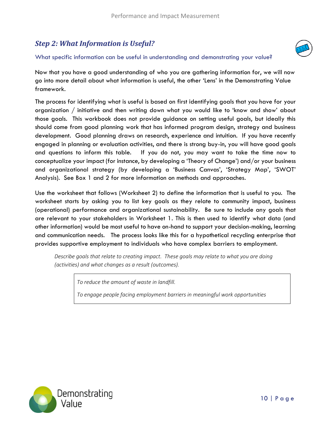# <span id="page-12-0"></span>*Step 2: What Information is Useful?*



#### What specific information can be useful in understanding and demonstrating your value?

Now that you have a good understanding of who you are gathering information for, we will now go into more detail about what information is useful, the other 'Lens' in the Demonstrating Value framework.

The process for identifying what is useful is based on first identifying goals that you have for your organization / initiative and then writing down what you would like to 'know and show' about those goals. This workbook does not provide guidance on setting useful goals, but ideally this should come from good planning work that has informed program design, strategy and business development. Good planning draws on research, experience and intuition. If you have recently engaged in planning or evaluation activities, and there is strong buy-in, you will have good goals and questions to inform this table. If you do not, you may want to take the time now to conceptualize your impact (for instance, by developing a 'Theory of Change') and/or your business and organizational strategy (by developing a 'Business Canvas', 'Strategy Map', 'SWOT' Analysis). See Box 1 and 2 for more information on methods and approaches.

Use the worksheet that follows (Worksheet 2) to define the information that is useful to you. The worksheet starts by asking you to list key goals as they relate to community impact, business (operational) performance and organizational sustainability. Be sure to include any goals that are relevant to your stakeholders in Worksheet 1. This is then used to identify what data (and other information) would be most useful to have on-hand to support your decision-making, learning and communication needs. The process looks like this for a hypothetical recycling enterprise that provides supportive employment to individuals who have complex barriers to employment.

*Describe goals that relate to creating impact. These goals may relate to what you are doing (activities) and what changes as a result (outcomes).* 

*To reduce the amount of waste in landfill.* 

*To engage people facing employment barriers in meaningful work opportunities*

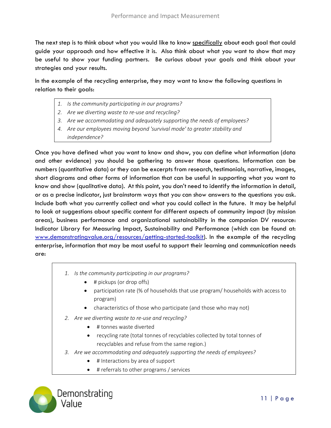The next step is to think about what you would like to know specifically about each goal that could guide your approach and how effective it is. Also think about what you want to show that may be useful to show your funding partners. Be curious about your goals and think about your strategies and your results.

In the example of the recycling enterprise, they may want to know the following questions in relation to their goals:

- *1. Is the community participating in our programs?*
- *2. Are we diverting waste to re-use and recycling?*
- *3. Are we accommodating and adequately supporting the needs of employees?*
- *4. Are our employees moving beyond 'survival mode' to greater stability and independence?*

Once you have defined what you want to know and show, you can define what information (data and other evidence) you should be gathering to answer those questions. Information can be numbers (quantitative data) or they can be excerpts from research, testimonials, narrative, images, short diagrams and other forms of information that can be useful in supporting what you want to know and show (qualitative data). At this point, you don't need to identify the information in detail, or as a precise indicator, just brainstorm ways that you can show answers to the questions you ask. Include both what you currently collect and what you could collect in the future. It may be helpful to look at suggestions about specific content for different aspects of community impact (by mission areas), business performance and organizational sustainability in the companion DV resource: Indicator Library for Measuring Impact, Sustainability and Performance (which can be found at: [www.demonstratingvalue.org/resources/getting-started-toolkit\)](http://www.demonstratingvalue.org/resources/getting-started-toolkit). In the example of the recycling enterprise, information that may be most useful to support their learning and communication needs are:

- *1. Is the community participating in our programs?*
	- # pickups (or drop offs)
	- participation rate (% of households that use program/ households with access to program)
	- characteristics of those who participate (and those who may not)
- *2. Are we diverting waste to re-use and recycling?*
	- # tonnes waste diverted
	- recycling rate (total tonnes of recyclables collected by total tonnes of recyclables and refuse from the same region.)
- *3. Are we accommodating and adequately supporting the needs of employees?*
	- # Interactions by area of support
	- # referrals to other programs / services

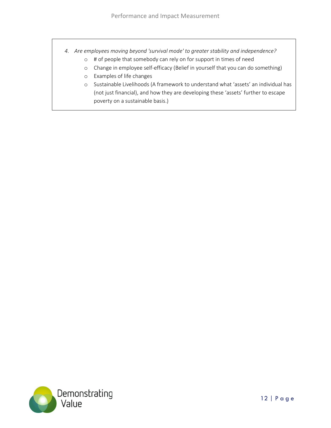- *4. Are employees moving beyond 'survival mode' to greater stability and independence?*
	- o # of people that somebody can rely on for support in times of need
	- o Change in employee self-efficacy (Belief in yourself that you can do something)
	- o Examples of life changes
	- o Sustainable Livelihoods (A framework to understand what 'assets' an individual has (not just financial), and how they are developing these 'assets' further to escape poverty on a sustainable basis.)

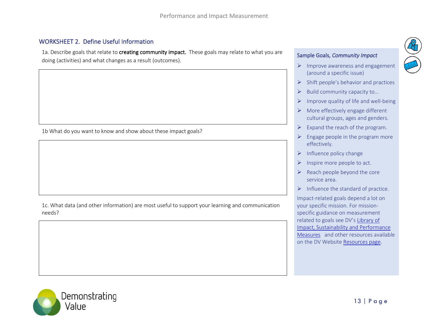#### WORKSHEET 2. Define Useful Information

1a. Describe goals that relate to creating community impact. These goals may relate to what you are doing (activities) and what changes as a result (outcomes).

<span id="page-15-0"></span>1b What do you want to know and show about these impact goals?

1c. What data (and other information) are most useful to support your learning and communication needs?

#### Sample Goals, *Community Impact*

- ➢ Improve awareness and engagement (around a specific issue)
- $\triangleright$  Shift people's behavior and practices
- ➢ Build community capacity to…
- $\triangleright$  Improve quality of life and well-being
- $\triangleright$  More effectively engage different cultural groups, ages and genders.
- $\triangleright$  Expand the reach of the program.
- $\triangleright$  Engage people in the program more effectively.
- $\triangleright$  Influence policy change
- $\triangleright$  Inspire more people to act.
- $\triangleright$  Reach people beyond the core service area.
- $\triangleright$  Influence the standard of practice.

Impact-related goals depend a lot on your specific mission. For missionspecific guidance on measurement related to goals see DV's [Library of](https://www.demonstratingvalue.org/sites/default/files/resource-files/Library%20of%20Impact%2C%20Sustainability%20and%20Performance%20Measures.pdf)  [Impact, Sustainability and Performance](https://www.demonstratingvalue.org/sites/default/files/resource-files/Library%20of%20Impact%2C%20Sustainability%20and%20Performance%20Measures.pdf)  [Measures](https://www.demonstratingvalue.org/sites/default/files/resource-files/Library%20of%20Impact%2C%20Sustainability%20and%20Performance%20Measures.pdf) and other resources available on the DV Website [Resources page.](https://www.demonstratingvalue.org/tools-and-resources)

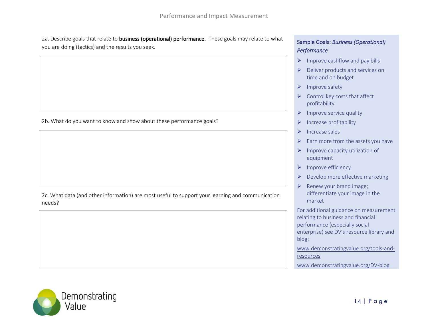2a. Describe goals that relate to business (operational) performance. These goals may relate to what you are doing (tactics) and the results you seek.

2b. What do you want to know and show about these performance goals?

2c. What data (and other information) are most useful to support your learning and communication needs?

#### Sample Goals: *Business (Operational) Performance*

- $\triangleright$  Improve cashflow and pay bills
- ➢ Deliver products and services on time and on budget
- ➢ Improve safety
- $\triangleright$  Control key costs that affect profitability
- $\triangleright$  Improve service quality
- ➢ Increase profitability
- ➢ Increase sales
- $\triangleright$  Earn more from the assets you have
- $\triangleright$  Improve capacity utilization of equipment
- ➢ Improve efficiency
- $\triangleright$  Develop more effective marketing
- $\triangleright$  Renew your brand image; differentiate your image in the market

For additional guidance on measurement relating to business and financial performance (especially social enterprise) see DV's resource library and blog:

[www.demonstratingvalue.org/tools-and](http://www.demonstratingvalue.org/tools-and-resources)[resources](http://www.demonstratingvalue.org/tools-and-resources)

[www.demonstratingvalue.org/DV-blog](http://www.demonstratingvalue.org/DV-blog)

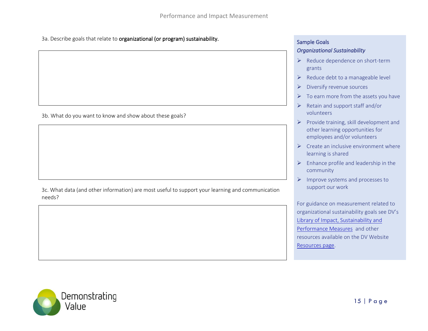3a. Describe goals that relate to **organizational (or program) sustainability.** Sample Goals Sample Goals

3b. What do you want to know and show about these goals?

3c. What data (and other information) are most useful to support your learning and communication needs?

#### *Organizational Sustainability*

- ➢ Reduce dependence on short-term grants
- $\triangleright$  Reduce debt to a manageable level
- ➢ Diversify revenue sources
- $\triangleright$  To earn more from the assets you have
- ➢ Retain and support staff and/or volunteers
- $\triangleright$  Provide training, skill development and other learning opportunities for employees and/or volunteers
- $\triangleright$  Create an inclusive environment where learning is shared
- $\triangleright$  Enhance profile and leadership in the community
- ➢ Improve systems and processes to support our work

For guidance on measurement related to organizational sustainability goals see DV's [Library of Impact, Sustainability and](https://www.demonstratingvalue.org/sites/default/files/resource-files/Library%20of%20Impact%2C%20Sustainability%20and%20Performance%20Measures.pdf)  [Performance Measures](https://www.demonstratingvalue.org/sites/default/files/resource-files/Library%20of%20Impact%2C%20Sustainability%20and%20Performance%20Measures.pdf) and other resources available on the DV Website [Resources page.](https://www.demonstratingvalue.org/tools-and-resources)

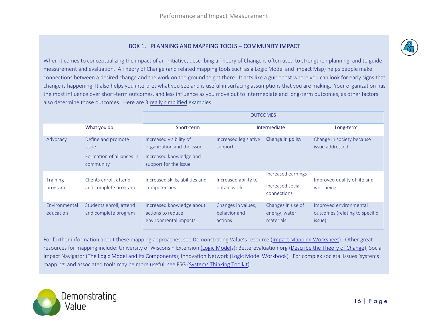#### BOX 1. PLANNING AND MAPPING TOOLS – COMMUNITY IMPACT

When it comes to conceptualizing the impact of an initiative, describing a Theory of Change is often used to strengthen planning, and to guide measurement and evaluation. A Theory of Change (and related mapping tools such as a Logic Model and Impact Map) helps people make connections between a desired change and the work on the ground to get there. It acts like a guidepost where you can look for early signs that change is happening. It also helps you interpret what you see and is useful in surfacing assumptions that you are making. Your organization has the most influence over short-term outcomes, and less influence as you move out to intermediate and long-term outcomes, as other factors also determine those outcomes. Here are 3 really simplified examples:

|                            |                                                                        | <b>OUTCOMES</b>                                                                                           |                                               |                                                       |                                                                    |
|----------------------------|------------------------------------------------------------------------|-----------------------------------------------------------------------------------------------------------|-----------------------------------------------|-------------------------------------------------------|--------------------------------------------------------------------|
|                            | What you do                                                            | Short-term                                                                                                |                                               | Intermediate                                          | Long-term                                                          |
| Advocacy                   | Define and promote<br>issue.<br>Formation of alliances in<br>community | Increased visibility of<br>organization and the issue<br>Increased knowledge and<br>support for the issue | Increased legislative<br>support              | Change in policy                                      | Change in society because<br>issue addressed                       |
| <b>Training</b><br>program | Clients enroll, attend<br>and complete program                         | Increased skills, abilities and<br>competencies                                                           | Increased ability to<br>obtain work           | Increased earnings<br>Increased social<br>connections | Improved quality of life and<br>well-being                         |
| Environmental<br>education | Students enroll, attend<br>and complete program                        | Increased knowledge about<br>actions to reduce<br>environmental impacts                                   | Changes in values,<br>behavior and<br>actions | Changes in use of<br>energy, water,<br>materials      | Improved environmental<br>outcomes (relating to specific<br>issue) |

For further information about these mapping approaches, see Demonstrating Value's resource ([Impact Mapping Worksheet\)](https://www.demonstratingvalue.org/resources/impact-mapping-worksheet). Other great resources for mapping include: University of Wisconsin Extension [\(Logic Models](https://fyi.extension.wisc.edu/programdevelopment/logic-models/)); Betterevaluation.org [\(Describe the Theory of Change\)](https://www.betterevaluation.org/en/node/5280); Social Impact Navigator [\(The Logic Model and Its Components\)](http://www.social-impact-navigator.org/planning-impact/logic-model/components/); Innovation Network [\(Logic Model Workbook\)](http://www.pointk.org/client_docs/File/logic_model_workbook.pdf) For complex societal issues 'systems mapping' and associated tools may be more useful, see FSG ([Systems Thinking Toolkit\)](https://www.fsg.org/tools-and-resources/systems-thinking-toolkit-0).

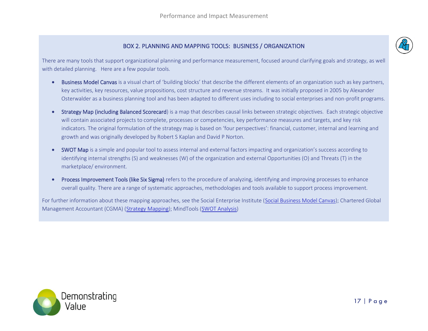

#### BOX 2. PLANNING AND MAPPING TOOLS: BUSINESS / ORGANIZATION

There are many tools that support organizational planning and performance measurement, focused around clarifying goals and strategy, as well with detailed planning. Here are a few popular tools.

- Business Model Canvas is a visual chart of 'building blocks' that describe the different elements of an organization such as key partners, key activities, key resources, value propositions, cost structure and revenue streams. It was initially proposed in 2005 by Alexander Osterwalder as a business planning tool and has been adapted to different uses including to social enterprises and non-profit programs.
- Strategy Map (including Balanced Scorecard) is a map that describes causal links between strategic objectives. Each strategic objective will contain associated projects to complete, processes or competencies, key performance measures and targets, and key risk indicators. The original formulation of the strategy map is based on 'four perspectives': financial, customer, internal and learning and growth and was originally developed by Robert S Kaplan and David P Norton.
- SWOT Map is a simple and popular tool to assess internal and external factors impacting and organization's success according to identifying internal strengths (S) and weaknesses (W) of the organization and external Opportunities (O) and Threats (T) in the marketplace/ environment.
- Process Improvement Tools (like Six Sigma) refers to the procedure of analyzing, identifying and improving processes to enhance overall quality. There are a range of systematic approaches, methodologies and tools available to support process improvement.

For further information about these mapping approaches, see the Social Enterprise Institute [\(Social Business Model Canvas\)](file://///Private/PrivRoot2/brysado/Documents/001%20work%20related/2%2022%202020/•%09https:/socialenterpriseinstitute.co/wp-content/uploads/2018/12/Social-Business-Model-Canvas.pdf); Chartered Global Management Accountant (CGMA) [\(Strategy Mapping\)](https://www.cgma.org/resources/tools/essential-tools/strategy-mapping.html); MindTools [\(SWOT Analysis\)](https://www.mindtools.com/pages/article/newTMC_05.htm)

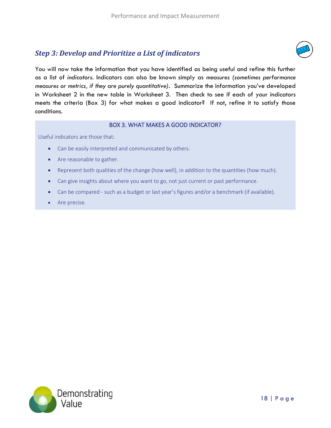### <span id="page-20-0"></span>*Step 3: Develop and Prioritize a List of indicators*



You will now take the information that you have identified as being useful and refine this further as a list of *indicators*. Indicators can also be known simply as *measures (sometimes performance measures or metrics, if they are purely quantitative).* Summarize the information you've developed in Worksheet 2 in the new table in Worksheet 3. Then check to see if each of your indicators meets the criteria (Box 3) for what makes a good indicator? If not, refine it to satisfy those conditions.

#### BOX 3. WHAT MAKES A GOOD INDICATOR?

Useful indicators are those that:

- Can be easily interpreted and communicated by others.
- Are reasonable to gather.
- Represent both qualities of the change (how well), in addition to the quantities (how much).
- Can give insights about where you want to go, not just current or past performance.
- Can be compared such as a budget or last year's figures and/or a benchmark (if available).
- Are precise.

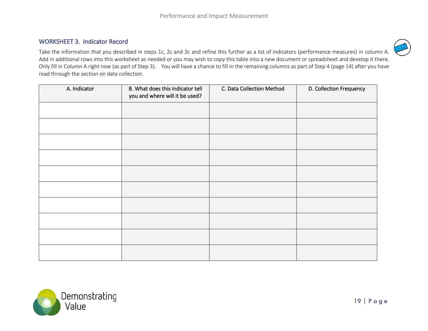#### WORKSHEET 3. Indicator Record

Take the information that you described in steps 1c, 2c and 3c and refine this further as a list of indicators (performance measures) in column A. Add in additional rows into this worksheet as needed or you may wish to copy this table into a new document or spreadsheet and develop it there. Only fill in Column A right now (as part of Step 3). You will have a chance to fill in the remaining columns as part of Step 4 (page 14) after you have read through the section on data collection.

<span id="page-21-0"></span>

| A. Indicator | B. What does this indicator tell<br>you and where will it be used? | C. Data Collection Method | D. Collection Frequency |
|--------------|--------------------------------------------------------------------|---------------------------|-------------------------|
|              |                                                                    |                           |                         |
|              |                                                                    |                           |                         |
|              |                                                                    |                           |                         |
|              |                                                                    |                           |                         |
|              |                                                                    |                           |                         |
|              |                                                                    |                           |                         |
|              |                                                                    |                           |                         |
|              |                                                                    |                           |                         |
|              |                                                                    |                           |                         |
|              |                                                                    |                           |                         |



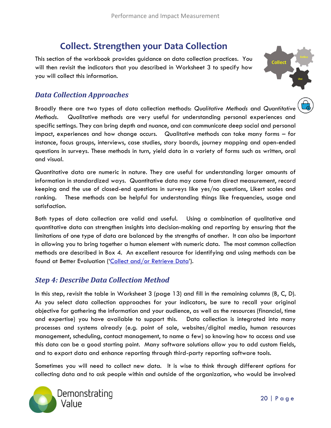# **Collect. Strengthen your Data Collection**

<span id="page-22-0"></span>This section of the workbook provides guidance on data collection practices. You will then revisit the indicators that you described in Worksheet 3 to specify how you will collect this information.



#### <span id="page-22-1"></span>*Data Collection Approaches*

Broadly there are two types of data collection methods: *Qualitative Methods* and *Quantitative Methods*. Qualitative methods are very useful for understanding personal experiences and specific settings. They can bring depth and nuance, and can communicate deep social and personal impact, experiences and how change occurs. Qualitative methods can take many forms – for instance, focus groups, interviews, case studies, story boards, journey mapping and open-ended questions in surveys. These methods in turn, yield data in a variety of forms such as written, oral and visual.

Quantitative data are numeric in nature. They are useful for understanding larger amounts of information in standardized ways. Quantitative data may come from direct measurement, record keeping and the use of closed-end questions in surveys like yes/no questions, Likert scales and ranking. These methods can be helpful for understanding things like frequencies, usage and satisfaction.

Both types of data collection are valid and useful. Using a combination of qualitative and quantitative data can strengthen insights into decision-making and reporting by ensuring that the limitations of one type of data are balanced by the strengths of another. It can also be important in allowing you to bring together a human element with numeric data. The most common collection methods are described in Box 4. An excellent resource for identifying and using methods can be found at Better Evaluation ('[Collect and/or Retrieve Data](https://www.betterevaluation.org/en/rainbow_framework/describe/collect_retrieve_data)').

#### <span id="page-22-2"></span>*Step 4: Describe Data Collection Method*

In this step, revisit the table in Worksheet 3 (page 13) and fill in the remaining columns (B, C, D). As you select data collection approaches for your indicators, be sure to recall your original objective for gathering the information and your audience, as well as the resources (financial, time and expertise) you have available to support this. Data collection is integrated into many processes and systems already (e.g. point of sale, websites/digital media, human resources management, scheduling, contact management, to name a few) so knowing how to access and use this data can be a good starting point. Many software solutions allow you to add custom fields, and to export data and enhance reporting through third-party reporting software tools.

Sometimes you will need to collect new data. It is wise to think through different options for collecting data and to ask people within and outside of the organization, who would be involved

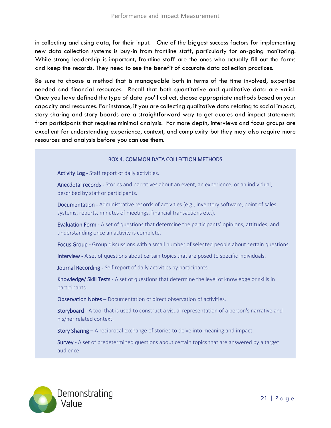in collecting and using data, for their input. One of the biggest success factors for implementing new data collection systems is buy-in from frontline staff, particularly for on-going monitoring. While strong leadership is important, frontline staff are the ones who actually fill out the forms and keep the records. They need to see the benefit of accurate data collection practices.

Be sure to choose a method that is manageable both in terms of the time involved, expertise needed and financial resources. Recall that both quantitative and qualitative data are valid. Once you have defined the type of data you'll collect, choose appropriate methods based on your capacity and resources. For instance, if you are collecting qualitative data relating to social impact, story sharing and story boards are a straightforward way to get quotes and impact statements from participants that requires minimal analysis. For more depth, interviews and focus groups are excellent for understanding experience, context, and complexity but they may also require more resources and analysis before you can use them.

#### BOX 4. COMMON DATA COLLECTION METHODS

Activity Log - Staff report of daily activities.

Anecdotal records - Stories and narratives about an event, an experience, or an individual, described by staff or participants.

Documentation - Administrative records of activities (e.g., inventory software, point of sales systems, reports, minutes of meetings, financial transactions etc.).

Evaluation Form - A set of questions that determine the participants' opinions, attitudes, and understanding once an activity is complete.

Focus Group - Group discussions with a small number of selected people about certain questions.

Interview - A set of questions about certain topics that are posed to specific individuals.

Journal Recording - Self report of daily activities by participants.

Knowledge/ Skill Tests - A set of questions that determine the level of knowledge or skills in participants.

Observation Notes – Documentation of direct observation of activities.

Storyboard - A tool that is used to construct a visual representation of a person's narrative and his/her related context.

Story Sharing – A reciprocal exchange of stories to delve into meaning and impact.

Survey - A set of predetermined questions about certain topics that are answered by a target audience.

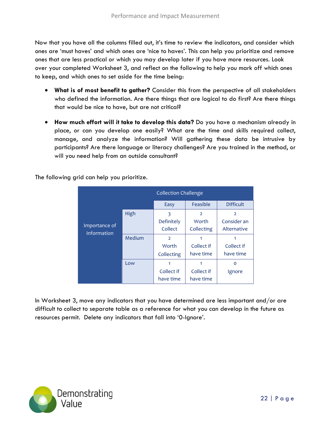Now that you have all the columns filled out, it's time to review the indicators, and consider which ones are 'must haves' and which ones are 'nice to haves'. This can help you prioritize and remove ones that are less practical or which you may develop later if you have more resources. Look over your completed Worksheet 3, and reflect on the following to help you mark off which ones to keep, and which ones to set aside for the time being:

- **What is of most benefit to gather?** Consider this from the perspective of all stakeholders who defined the information. Are there things that are logical to do first? Are there things that would be nice to have, but are not critical?
- **How much effort will it take to develop this data?** Do you have a mechanism already in place, or can you develop one easily? What are the time and skills required collect, manage, and analyze the information? Will gathering these data be intrusive by participants? Are there language or literacy challenges? Are you trained in the method, or will you need help from an outside consultant?

The following grid can help you prioritize.

|                              |        | <b>Collection Challenge</b> |                |                  |  |
|------------------------------|--------|-----------------------------|----------------|------------------|--|
|                              |        | Easy                        | Feasible       | <b>Difficult</b> |  |
| Importance of<br>Information | High   | 3                           | $\overline{2}$ | $\overline{2}$   |  |
|                              |        | Definitely                  | Worth          | Consider an      |  |
|                              |        | Collect                     | Collecting     | Alternative      |  |
|                              | Medium | $\overline{z}$              | 1              | 1                |  |
|                              |        | Worth                       | Collect if     | Collect if       |  |
|                              |        | Collecting                  | have time      | have time        |  |
|                              | Low    |                             | 1              | $\circ$          |  |
|                              |        | Collect if                  | Collect if     | Ignore           |  |
|                              |        | have time                   | have time      |                  |  |

In Worksheet 3, move any indicators that you have determined are less important and/or are difficult to collect to separate table as a reference for what you can develop in the future as resources permit. Delete any indicators that fall into '0-Ignore'.

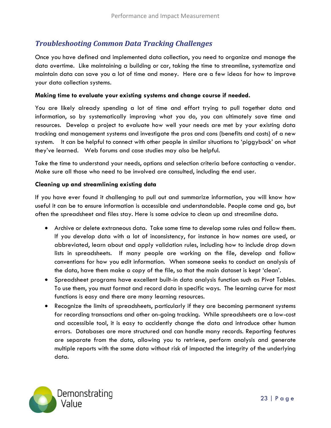#### <span id="page-25-0"></span>*Troubleshooting Common Data Tracking Challenges*

Once you have defined and implemented data collection, you need to organize and manage the data overtime. Like maintaining a building or car, taking the time to streamline, systematize and maintain data can save you a lot of time and money. Here are a few ideas for how to improve your data collection systems.

#### **Making time to evaluate your existing systems and change course if needed.**

You are likely already spending a lot of time and effort trying to pull together data and information, so by systematically improving what you do, you can ultimately save time and resources. Develop a project to evaluate how well your needs are met by your existing data tracking and management systems and investigate the pros and cons (benefits and costs) of a new system. It can be helpful to connect with other people in similar situations to 'piggyback' on what they've learned. Web forums and case studies may also be helpful.

Take the time to understand your needs, options and selection criteria before contacting a vendor. Make sure all those who need to be involved are consulted, including the end user.

#### **Cleaning up and streamlining existing data**

If you have ever found it challenging to pull out and summarize information, you will know how useful it can be to ensure information is accessible and understandable. People come and go, but often the spreadsheet and files stay. Here is some advice to clean up and streamline data.

- Archive or delete extraneous data. Take some time to develop some rules and follow them. If you develop data with a lot of inconsistency, for instance in how names are used, or abbreviated, learn about and apply validation rules, including how to include drop down lists in spreadsheets. If many people are working on the file, develop and follow conventions for how you edit information. When someone seeks to conduct an analysis of the data, have them make a copy of the file, so that the main dataset is kept 'clean'.
- Spreadsheet programs have excellent built-in data analysis function such as Pivot Tables. To use them, you must format and record data in specific ways. The learning curve for most functions is easy and there are many learning resources.
- Recognize the limits of spreadsheets, particularly if they are becoming permanent systems for recording transactions and other on-going tracking. While spreadsheets are a low-cost and accessible tool, it is easy to accidently change the data and introduce other human errors. Databases are more structured and can handle many records. Reporting features are separate from the data, allowing you to retrieve, perform analysis and generate multiple reports with the same data without risk of impacted the integrity of the underlying data.

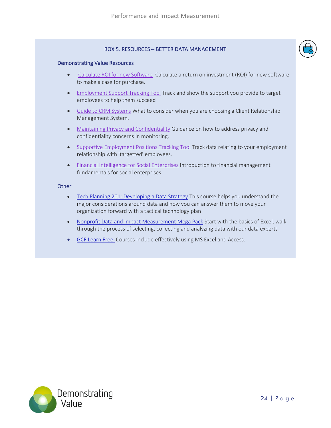#### BOX 5. RESOURCES – BETTER DATA MANAGEMENT

#### Demonstrating Value Resources

- • [Calculate](https://www.demonstratingvalue.org/resources/calculate-roi-new-software) ROI for new SoftwareCalculate a return on investment (ROI) for new software to make a case for purchase.
- [Employment](https://www.demonstratingvalue.org/resources/employment-support-tracking-tool) Support Tracking Tool Track and show the support you provide to target employees to help them succeed
- Guide to CRM [Systems](https://www.demonstratingvalue.org/resources/guide-crm-systems) What to consider when you are choosing a Client Relationship Management System.
- Maintaining Privacy and [Confidentiality](https://www.demonstratingvalue.org/resources/maintaining-privacy-and-confidentiality) Guidance on how to address privacy and confidentiality concerns in monitoring.
- Supportive [Employment](https://www.demonstratingvalue.org/resources/supportive-employment-positions-tracking-tool) Positions Tracking Tool Track data relating to your employment relationship with 'targetted' employees.
- Financial [Intelligence](https://www.demonstratingvalue.org/resources/financial-intelligence-social-enterprises) for Social Enterprises Introduction to financial management fundamentals for social enterprises

#### **Other**

- [Tech Planning 201: Developing a Data Strategy](https://techsoup.course.tc/catalog/course/tech-planning-201) This course helps you understand the major considerations around data and how you can answer them to move your organization forward with a tactical technology plan
- [Nonprofit Data and Impact Measurement Mega Pack](https://techsoup.course.tc/catalog/track/nonprofit-data-and-impact-measurement-mega-pack) Start with the basics of Excel, walk through the process of selecting, collecting and analyzing data with our data experts
- [GCF Learn Free](http://www.gcflearnfree.org/) Courses include effectively using MS Excel and Access.

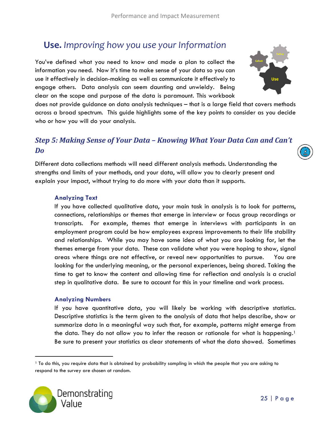# <span id="page-27-0"></span>**Use.** *Improving how you use your Information*

You've defined what you need to know and made a plan to collect the information you need. Now it's time to make sense of your data so you can use it effectively in decision-making as well as communicate it effectively to engage others. Data analysis can seem daunting and unwieldy. Being clear on the scope and purpose of the data is paramount. This workbook

does not provide guidance on data analysis techniques – that is a large field that covers methods across a broad spectrum. This guide highlights some of the key points to consider as you decide who or how you will do your analysis.

#### <span id="page-27-1"></span>*Step 5: Making Sense of Your Data – Knowing What Your Data Can and Can't Do*

Different data collections methods will need different analysis methods. Understanding the strengths and limits of your methods, and your data, will allow you to clearly present and explain your impact, without trying to do more with your data than it supports.

#### **Analyzing Text**

If you have collected qualitative data, your main task in analysis is to look for patterns, connections, relationships or themes that emerge in interview or focus group recordings or transcripts. For example, themes that emerge in interviews with participants in an employment program could be how employees express improvements to their life stability and relationships. While you may have some idea of what you are looking for, let the themes emerge from your data. These can validate what you were hoping to show, signal areas where things are not effective, or reveal new opportunities to pursue. You are looking for the underlying meaning, or the personal experiences, being shared. Taking the time to get to know the content and allowing time for reflection and analysis is a crucial step in qualitative data. Be sure to account for this in your timeline and work process.

#### **Analyzing Numbers**

If you have quantitative data, you will likely be working with descriptive statistics. Descriptive statistics is the term given to the analysis of data that helps describe, show or summarize data in a meaningful way such that, for example, patterns might emerge from the data. They do not allow you to infer the reason or rationale for what is happening.<sup>1</sup> Be sure to present your statistics as clear statements of what the data showed. Sometimes

<sup>&</sup>lt;sup>1</sup> To do this, you require data that is obtained by probability sampling in which the people that you are asking to respond to the survey are chosen at random.





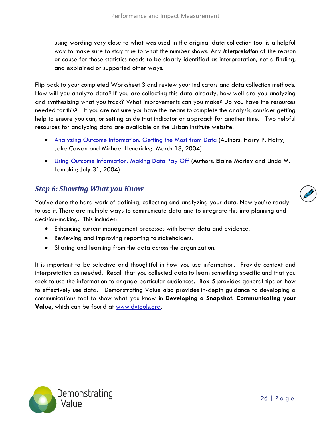using wording very close to what was used in the original data collection tool is a helpful way to make sure to stay true to what the number shows. Any *interpretation* of the reason or cause for those statistics needs to be clearly identified as interpretation, not a finding, and explained or supported other ways.

Flip back to your completed Worksheet 3 and review your indicators and data collection methods. How will you analyze data? If you are collecting this data already, how well are you analyzing and synthesizing what you track? What improvements can you make? Do you have the resources needed for this? If you are not sure you have the means to complete the analysis, consider getting help to ensure you can, or setting aside that indicator or approach for another time. Two helpful resources for analyzing data are available on the Urban Institute website:

- [Analyzing Outcome Information: Getting the Most from Data](http://www.urban.org/UploadedPDF/310973_OutcomeInformation.pdf) (Authors: Harry P. Hatry, Jake Cowan and Michael Hendricks; March 18, 2004)
- [Using Outcome Information: Making Data Pay Off](http://www.urban.org/UploadedPDF/311040_OutcomeInformation.pdf) (Authors: Elaine Morley and Linda M. Lampkin; July 31, 2004)

#### <span id="page-28-0"></span>*Step 6: Showing What you Know*

You've done the hard work of defining, collecting and analyzing your data. Now you're ready to use it. There are multiple ways to communicate data and to integrate this into planning and decision-making. This includes:

- Enhancing current management processes with better data and evidence.
- Reviewing and improving reporting to stakeholders.
- Sharing and learning from the data across the organization.

It is important to be selective and thoughtful in how you use information. Provide context and interpretation as needed. Recall that you collected data to learn something specific and that you seek to use the information to engage particular audiences. Box 5 provides general tips on how to effectively use data. Demonstrating Value also provides in-depth guidance to developing a communications tool to show what you know in **Developing a Snapshot: Communicating your Value**, which can be found at [www.dvtools.org](http://www.dvtools.org/)**.** 



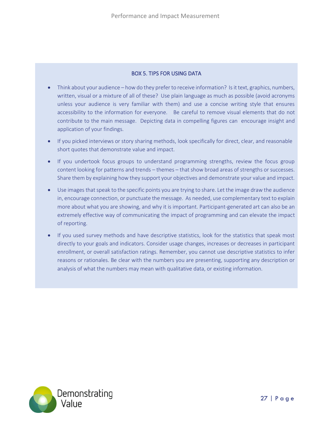#### BOX 5. TIPS FOR USING DATA

- Think about your audience how do they prefer to receive information? Is it text, graphics, numbers, written, visual or a mixture of all of these? Use plain language as much as possible (avoid acronyms unless your audience is very familiar with them) and use a concise writing style that ensures accessibility to the information for everyone. Be careful to remove visual elements that do not contribute to the main message. Depicting data in compelling figures can encourage insight and application of your findings.
- If you picked interviews or story sharing methods, look specifically for direct, clear, and reasonable short quotes that demonstrate value and impact.
- If you undertook focus groups to understand programming strengths, review the focus group content looking for patterns and trends – themes – that show broad areas of strengths or successes. Share them by explaining how they support your objectives and demonstrate your value and impact.
- Use images that speak to the specific points you are trying to share. Let the image draw the audience in, encourage connection, or punctuate the message. As needed, use complementary text to explain more about what you are showing, and why it is important. Participant-generated art can also be an extremely effective way of communicating the impact of programming and can elevate the impact of reporting.
- If you used survey methods and have descriptive statistics, look for the statistics that speak most directly to your goals and indicators. Consider usage changes, increases or decreases in participant enrollment, or overall satisfaction ratings. Remember, you cannot use descriptive statistics to infer reasons or rationales. Be clear with the numbers you are presenting, supporting any description or analysis of what the numbers may mean with qualitative data, or existing information.

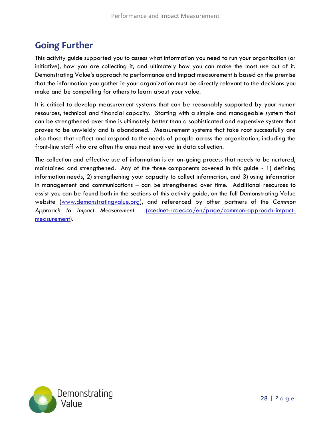# <span id="page-30-0"></span>**Going Further**

This activity guide supported you to assess what information you need to run your organization (or initiative), how you are collecting it, and ultimately how you can make the most use out of it. Demonstrating Value's approach to performance and impact measurement is based on the premise that the information you gather in your organization must be directly relevant to the decisions you make and be compelling for others to learn about your value.

It is critical to develop measurement systems that can be reasonably supported by your human resources, technical and financial capacity. Starting with a simple and manageable system that can be strengthened over time is ultimately better than a sophisticated and expensive system that proves to be unwieldy and is abandoned. Measurement systems that take root successfully are also those that reflect and respond to the needs of people across the organization, including the front-line staff who are often the ones most involved in data collection.

The collection and effective use of information is an on-going process that needs to be nurtured, maintained and strengthened. Any of the three components covered in this guide - 1) defining information needs, 2) strengthening your capacity to collect information, and 3) using information in management and communications – can be strengthened over time. Additional resources to assist you can be found both in the sections of this activity guide, on the full Demonstrating Value website [\(www.demonstratingvalue.org\)](http://www.demonstratingvalue.org/), and referenced by other partners of the *Common Approach to Impact Measurement* [\(ccednet-rcdec.ca/en/page/common-approach-impact](https://ccednet-rcdec.ca/en/page/common-approach-impact-measurement)[measurement\)](https://ccednet-rcdec.ca/en/page/common-approach-impact-measurement)*.*